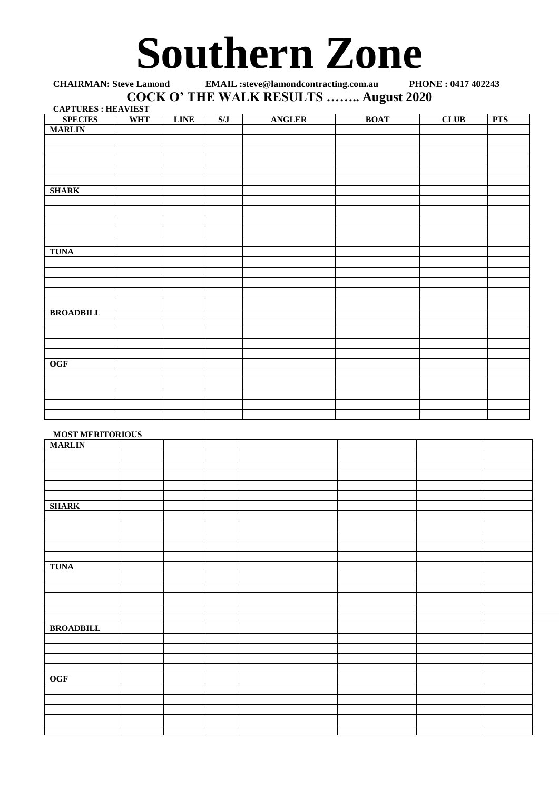# Southern Zone

**CHAIRMAN: Steve Lamond EMAIL :steve@lamondcontracting.com.au COCK O' THE WALK RESULTS …….. August 2020 CAPTURES : HEAVIEST**

| <b>SPECIES</b>   | <b>WHT</b> | <b>LINE</b> | S/J | <b>ANGLER</b> | <b>BOAT</b> | <b>CLUB</b> | <b>PTS</b> |
|------------------|------------|-------------|-----|---------------|-------------|-------------|------------|
| <b>MARLIN</b>    |            |             |     |               |             |             |            |
|                  |            |             |     |               |             |             |            |
|                  |            |             |     |               |             |             |            |
|                  |            |             |     |               |             |             |            |
|                  |            |             |     |               |             |             |            |
|                  |            |             |     |               |             |             |            |
| <b>SHARK</b>     |            |             |     |               |             |             |            |
|                  |            |             |     |               |             |             |            |
|                  |            |             |     |               |             |             |            |
|                  |            |             |     |               |             |             |            |
|                  |            |             |     |               |             |             |            |
|                  |            |             |     |               |             |             |            |
| <b>TUNA</b>      |            |             |     |               |             |             |            |
|                  |            |             |     |               |             |             |            |
|                  |            |             |     |               |             |             |            |
|                  |            |             |     |               |             |             |            |
|                  |            |             |     |               |             |             |            |
|                  |            |             |     |               |             |             |            |
| <b>BROADBILL</b> |            |             |     |               |             |             |            |
|                  |            |             |     |               |             |             |            |
|                  |            |             |     |               |             |             |            |
|                  |            |             |     |               |             |             |            |
|                  |            |             |     |               |             |             |            |
| <b>OGF</b>       |            |             |     |               |             |             |            |
|                  |            |             |     |               |             |             |            |
|                  |            |             |     |               |             |             |            |
|                  |            |             |     |               |             |             |            |
|                  |            |             |     |               |             |             |            |
|                  |            |             |     |               |             |             |            |

## **MOST MERITORIOUS**

| <b>MARLIN</b>    | ------ |  |  |  |
|------------------|--------|--|--|--|
|                  |        |  |  |  |
|                  |        |  |  |  |
|                  |        |  |  |  |
|                  |        |  |  |  |
|                  |        |  |  |  |
|                  |        |  |  |  |
| <b>SHARK</b>     |        |  |  |  |
|                  |        |  |  |  |
|                  |        |  |  |  |
|                  |        |  |  |  |
|                  |        |  |  |  |
|                  |        |  |  |  |
|                  |        |  |  |  |
| <b>TUNA</b>      |        |  |  |  |
|                  |        |  |  |  |
|                  |        |  |  |  |
|                  |        |  |  |  |
|                  |        |  |  |  |
|                  |        |  |  |  |
| <b>BROADBILL</b> |        |  |  |  |
|                  |        |  |  |  |
|                  |        |  |  |  |
|                  |        |  |  |  |
|                  |        |  |  |  |
|                  |        |  |  |  |
| <b>OGF</b>       |        |  |  |  |
|                  |        |  |  |  |
|                  |        |  |  |  |
|                  |        |  |  |  |
|                  |        |  |  |  |
|                  |        |  |  |  |
|                  |        |  |  |  |